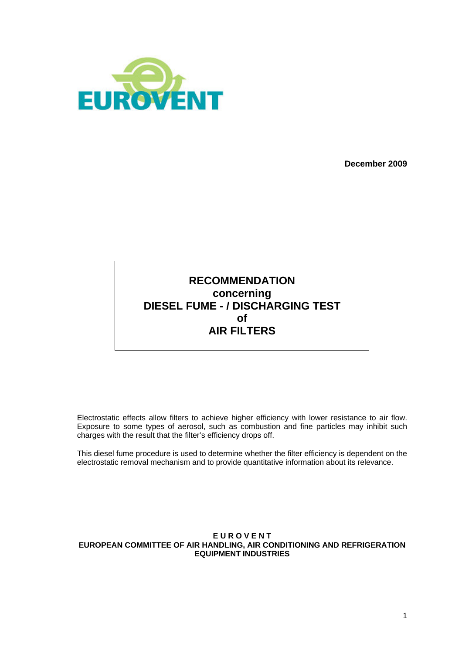

**December 2009** 

## **RECOMMENDATION concerning DIESEL FUME - / DISCHARGING TEST of AIR FILTERS**

Electrostatic effects allow filters to achieve higher efficiency with lower resistance to air flow. Exposure to some types of aerosol, such as combustion and fine particles may inhibit such charges with the result that the filter's efficiency drops off.

This diesel fume procedure is used to determine whether the filter efficiency is dependent on the electrostatic removal mechanism and to provide quantitative information about its relevance.

#### **E U R O V E N T EUROPEAN COMMITTEE OF AIR HANDLING, AIR CONDITIONING AND REFRIGERATION EQUIPMENT INDUSTRIES**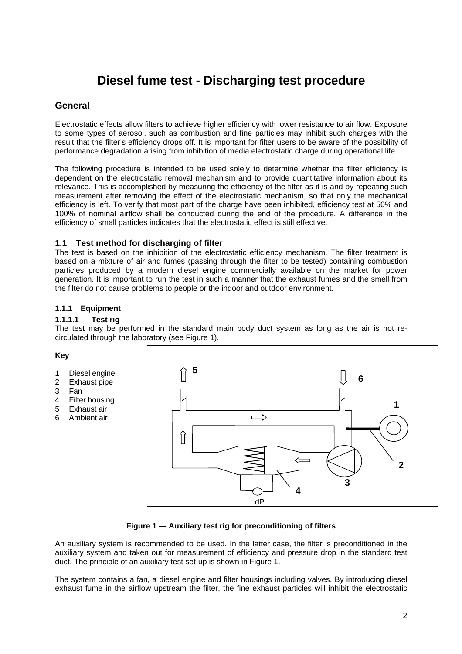# **Diesel fume test - Discharging test procedure**

### **General**

Electrostatic effects allow filters to achieve higher efficiency with lower resistance to air flow. Exposure to some types of aerosol, such as combustion and fine particles may inhibit such charges with the result that the filter's efficiency drops off. It is important for filter users to be aware of the possibility of performance degradation arising from inhibition of media electrostatic charge during operational life.

The following procedure is intended to be used solely to determine whether the filter efficiency is dependent on the electrostatic removal mechanism and to provide quantitative information about its relevance. This is accomplished by measuring the efficiency of the filter as it is and by repeating such measurement after removing the effect of the electrostatic mechanism, so that only the mechanical efficiency is left. To verify that most part of the charge have been inhibited, efficiency test at 50% and 100% of nominal airflow shall be conducted during the end of the procedure. A difference in the efficiency of small particles indicates that the electrostatic effect is still effective.

#### **1.1 Test method for discharging of filter**

The test is based on the inhibition of the electrostatic efficiency mechanism. The filter treatment is based on a mixture of air and fumes (passing through the filter to be tested) containing combustion particles produced by a modern diesel engine commercially available on the market for power generation. It is important to run the test in such a manner that the exhaust fumes and the smell from the filter do not cause problems to people or the indoor and outdoor environment.

#### **1.1.1 Equipment**

#### **1.1.1.1 Test rig**

The test may be performed in the standard main body duct system as long as the air is not recirculated through the laboratory (see Figure 1).

#### **Key**

- 1 Diesel engine
- 2 Exhaust pipe
- 3 Fan
- 4 Filter housing
- 5 Exhaust air
- 6 Ambient air



#### **Figure 1 — Auxiliary test rig for preconditioning of filters**

An auxiliary system is recommended to be used. In the latter case, the filter is preconditioned in the auxiliary system and taken out for measurement of efficiency and pressure drop in the standard test duct. The principle of an auxiliary test set-up is shown in Figure 1.

The system contains a fan, a diesel engine and filter housings including valves. By introducing diesel exhaust fume in the airflow upstream the filter, the fine exhaust particles will inhibit the electrostatic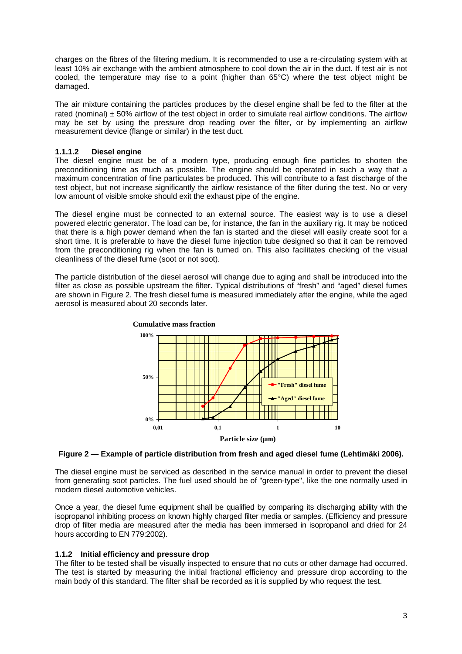charges on the fibres of the filtering medium. It is recommended to use a re-circulating system with at least 10% air exchange with the ambient atmosphere to cool down the air in the duct. If test air is not cooled, the temperature may rise to a point (higher than 65°C) where the test object might be damaged.

The air mixture containing the particles produces by the diesel engine shall be fed to the filter at the rated (nominal)  $\pm$  50% airflow of the test object in order to simulate real airflow conditions. The airflow may be set by using the pressure drop reading over the filter, or by implementing an airflow measurement device (flange or similar) in the test duct.

#### **1.1.1.2 Diesel engine**

The diesel engine must be of a modern type, producing enough fine particles to shorten the preconditioning time as much as possible. The engine should be operated in such a way that a maximum concentration of fine particulates be produced. This will contribute to a fast discharge of the test object, but not increase significantly the airflow resistance of the filter during the test. No or very low amount of visible smoke should exit the exhaust pipe of the engine.

The diesel engine must be connected to an external source. The easiest way is to use a diesel powered electric generator. The load can be, for instance, the fan in the auxiliary rig. It may be noticed that there is a high power demand when the fan is started and the diesel will easily create soot for a short time. It is preferable to have the diesel fume injection tube designed so that it can be removed from the preconditioning rig when the fan is turned on. This also facilitates checking of the visual cleanliness of the diesel fume (soot or not soot).

The particle distribution of the diesel aerosol will change due to aging and shall be introduced into the filter as close as possible upstream the filter. Typical distributions of "fresh" and "aged" diesel fumes are shown in Figure 2. The fresh diesel fume is measured immediately after the engine, while the aged aerosol is measured about 20 seconds later.



#### **Figure 2 — Example of particle distribution from fresh and aged diesel fume (Lehtimäki 2006).**

The diesel engine must be serviced as described in the service manual in order to prevent the diesel from generating soot particles. The fuel used should be of "green-type", like the one normally used in modern diesel automotive vehicles.

Once a year, the diesel fume equipment shall be qualified by comparing its discharging ability with the isopropanol inhibiting process on known highly charged filter media or samples. (Efficiency and pressure drop of filter media are measured after the media has been immersed in isopropanol and dried for 24 hours according to EN 779:2002).

#### **1.1.2 Initial efficiency and pressure drop**

The filter to be tested shall be visually inspected to ensure that no cuts or other damage had occurred. The test is started by measuring the initial fractional efficiency and pressure drop according to the main body of this standard. The filter shall be recorded as it is supplied by who request the test.